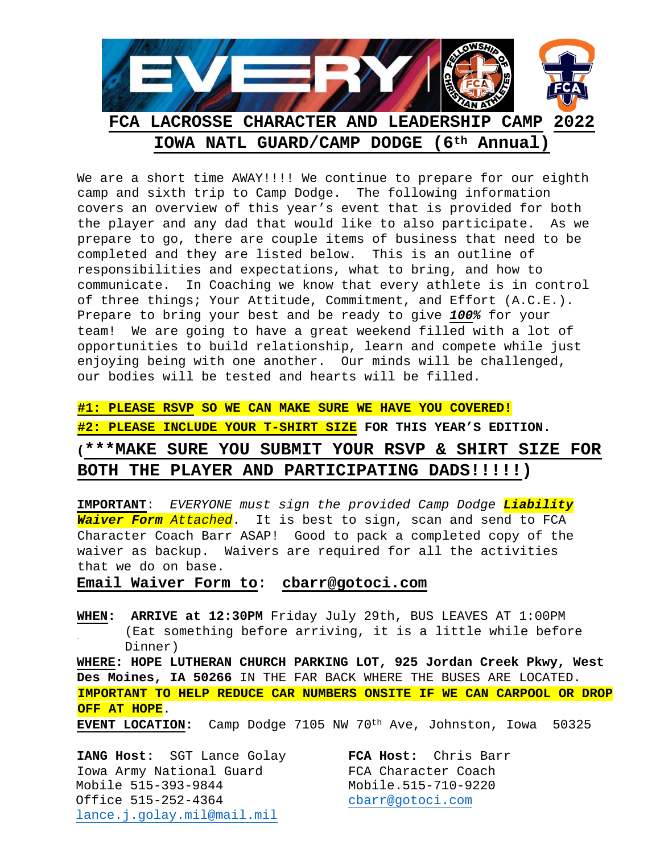

We are a short time AWAY!!!! We continue to prepare for our eighth camp and sixth trip to Camp Dodge. The following information covers an overview of this year's event that is provided for both the player and any dad that would like to also participate. As we prepare to go, there are couple items of business that need to be completed and they are listed below. This is an outline of responsibilities and expectations, what to bring, and how to communicate. In Coaching we know that every athlete is in control of three things; Your Attitude, Commitment, and Effort (A.C.E.). Prepare to bring your best and be ready to give *100%* for your team! We are going to have a great weekend filled with a lot of opportunities to build relationship, learn and compete while just enjoying being with one another. Our minds will be challenged, our bodies will be tested and hearts will be filled.

**#1: PLEASE RSVP SO WE CAN MAKE SURE WE HAVE YOU COVERED! #2: PLEASE INCLUDE YOUR T-SHIRT SIZE FOR THIS YEAR'S EDITION. (\*\*\*MAKE SURE YOU SUBMIT YOUR RSVP & SHIRT SIZE FOR BOTH THE PLAYER AND PARTICIPATING DADS!!!!!)** 

**IMPORTANT**: *EVERYONE must sign the provided Camp Dodge Liability Waiver Form Attached*. It is best to sign, scan and send to FCA Character Coach Barr ASAP! Good to pack a completed copy of the waiver as backup. Waivers are required for all the activities that we do on base.

**Email Waiver Form to**: **cbarr@gotoci.com**

**WHEN: ARRIVE at 12:30PM** Friday July 29th, BUS LEAVES AT 1:00PM (Eat something before arriving, it is a little while before Dinner)

**WHERE: HOPE LUTHERAN CHURCH PARKING LOT, 925 Jordan Creek Pkwy, West Des Moines, IA 50266** IN THE FAR BACK WHERE THE BUSES ARE LOCATED. **IMPORTANT TO HELP REDUCE CAR NUMBERS ONSITE IF WE CAN CARPOOL OR DROP OFF AT HOPE**.

**EVENT LOCATION:** Camp Dodge 7105 NW 70th Ave, Johnston, Iowa 50325

**IANG Host:** SGT Lance Golay **FCA Host:** Chris Barr Iowa Army National Guard FCA Character Coach<br>Mobile 515-393-9844 Mobile.515-710-9220 Mobile 515-393-9844<br>Office 515-252-4364 cbarr@gotoci.com Office 515-252-4364 [lance.j.golay.mil@mail.mil](mailto:lance.j.golay.mil@mail.mil)